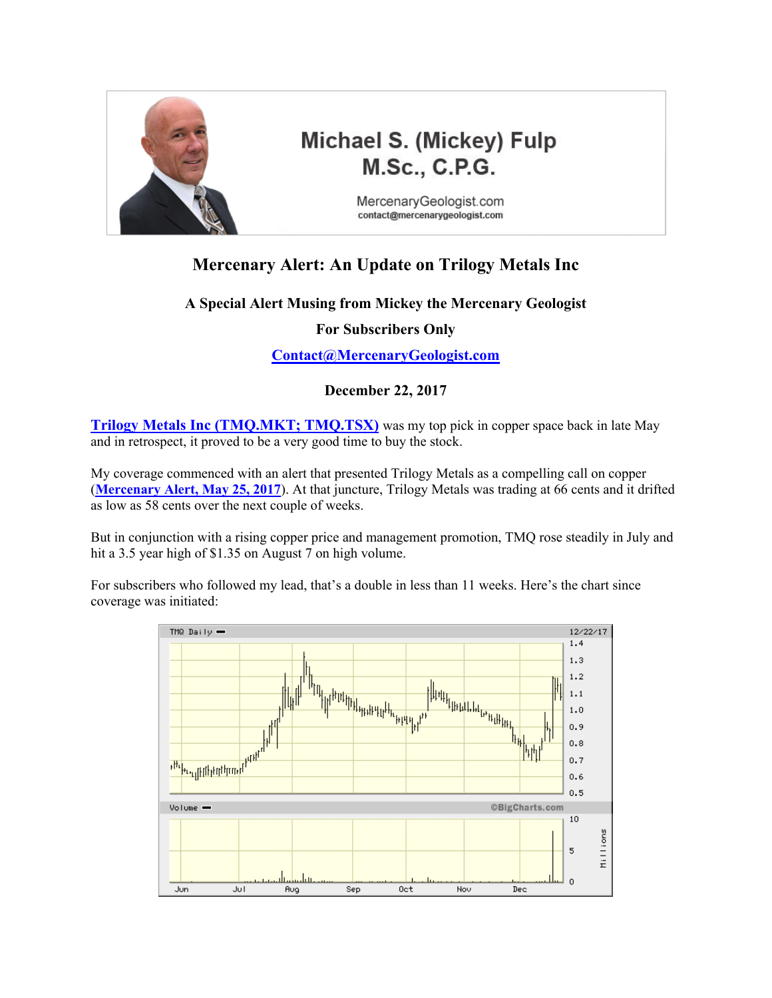

# **Michael S. (Mickey) Fulp** M.Sc., C.P.G.

MercenaryGeologist.com contact@mercenarygeologist.com

## **Mercenary Alert: An Update on Trilogy Metals Inc**

### **A Special Alert Musing from Mickey the Mercenary Geologist**

### **For Subscribers Only**

**[Contact@MercenaryGeologist.com](mailto:Contact@mercenarygeologist.com)**

### **December 22, 2017**

**[Trilogy Metals Inc \(TMQ.MKT; TMQ.TSX\)](https://trilogymetals.com/)** was my top pick in copper space back in late May and in retrospect, it proved to be a very good time to buy the stock.

My coverage commenced with an alert that presented Trilogy Metals as a compelling call on copper (**[Mercenary Alert, May 25, 2017](http://www.goldgeologist.com/mercenary_musings/musing-170525-Mercenary-Alert-This-Company-is-a-Compelling-Call-on-Copper.pdf)**). At that juncture, Trilogy Metals was trading at 66 cents and it drifted as low as 58 cents over the next couple of weeks.

But in conjunction with a rising copper price and management promotion, TMQ rose steadily in July and hit a 3.5 year high of \$1.35 on August 7 on high volume.

For subscribers who followed my lead, that's a double in less than 11 weeks. Here's the chart since coverage was initiated:

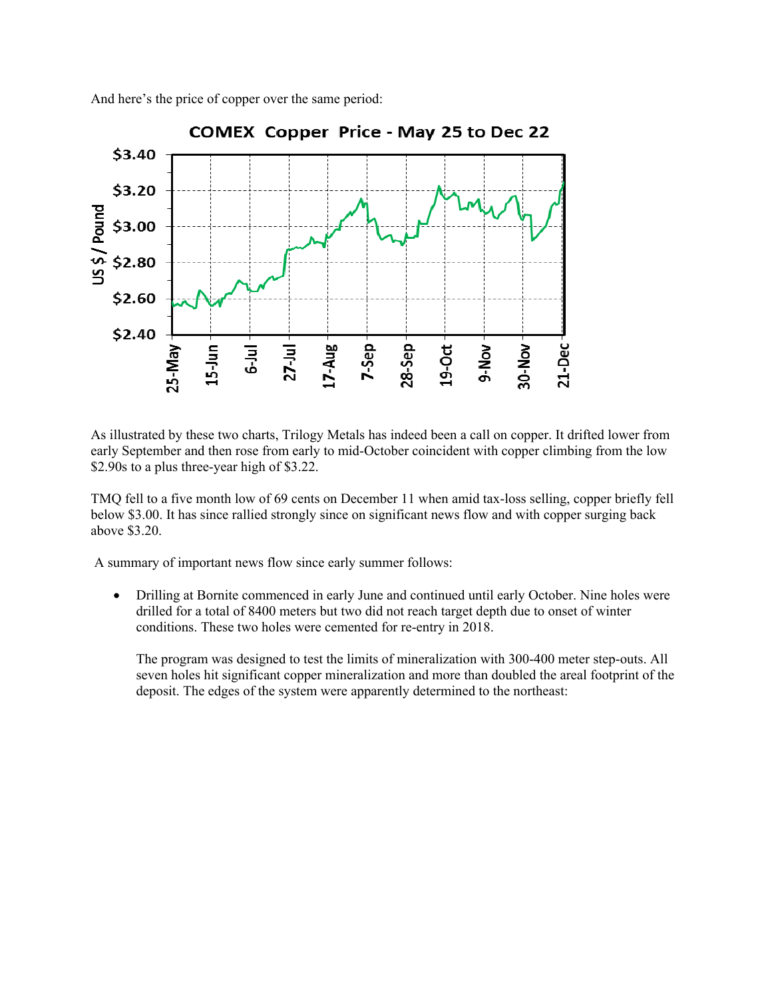And here's the price of copper over the same period:



As illustrated by these two charts, Trilogy Metals has indeed been a call on copper. It drifted lower from early September and then rose from early to mid-October coincident with copper climbing from the low \$2.90s to a plus three-year high of \$3.22.

TMQ fell to a five month low of 69 cents on December 11 when amid tax-loss selling, copper briefly fell below \$3.00. It has since rallied strongly since on significant news flow and with copper surging back above \$3.20.

A summary of important news flow since early summer follows:

 Drilling at Bornite commenced in early June and continued until early October. Nine holes were drilled for a total of 8400 meters but two did not reach target depth due to onset of winter conditions. These two holes were cemented for re-entry in 2018.

The program was designed to test the limits of mineralization with 300-400 meter step-outs. All seven holes hit significant copper mineralization and more than doubled the areal footprint of the deposit. The edges of the system were apparently determined to the northeast: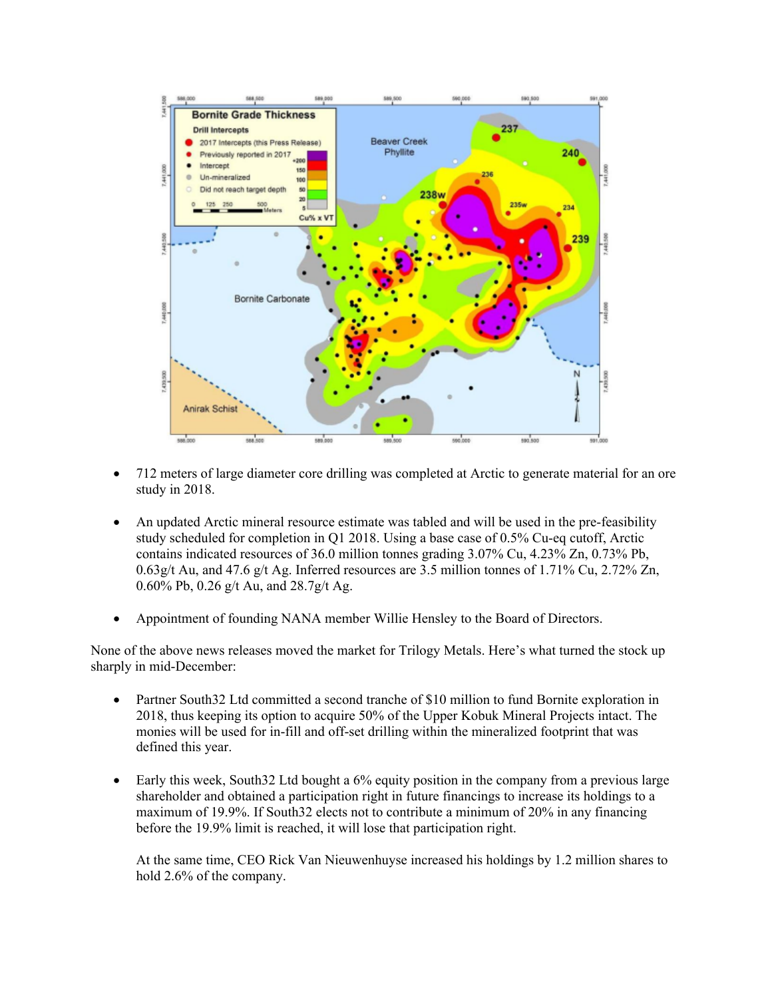

- 712 meters of large diameter core drilling was completed at Arctic to generate material for an ore study in 2018.
- An updated Arctic mineral resource estimate was tabled and will be used in the pre-feasibility study scheduled for completion in Q1 2018. Using a base case of 0.5% Cu-eq cutoff, Arctic contains indicated resources of 36.0 million tonnes grading 3.07% Cu, 4.23% Zn, 0.73% Pb,  $0.63$ g/t Au, and 47.6 g/t Ag. Inferred resources are 3.5 million tonnes of 1.71% Cu, 2.72% Zn, 0.60% Pb, 0.26 g/t Au, and 28.7g/t Ag.
- Appointment of founding NANA member Willie Hensley to the Board of Directors.

None of the above news releases moved the market for Trilogy Metals. Here's what turned the stock up sharply in mid-December:

- Partner South32 Ltd committed a second tranche of \$10 million to fund Bornite exploration in 2018, thus keeping its option to acquire 50% of the Upper Kobuk Mineral Projects intact. The monies will be used for in-fill and off-set drilling within the mineralized footprint that was defined this year.
- Early this week, South32 Ltd bought a 6% equity position in the company from a previous large shareholder and obtained a participation right in future financings to increase its holdings to a maximum of 19.9%. If South32 elects not to contribute a minimum of 20% in any financing before the 19.9% limit is reached, it will lose that participation right.

At the same time, CEO Rick Van Nieuwenhuyse increased his holdings by 1.2 million shares to hold 2.6% of the company.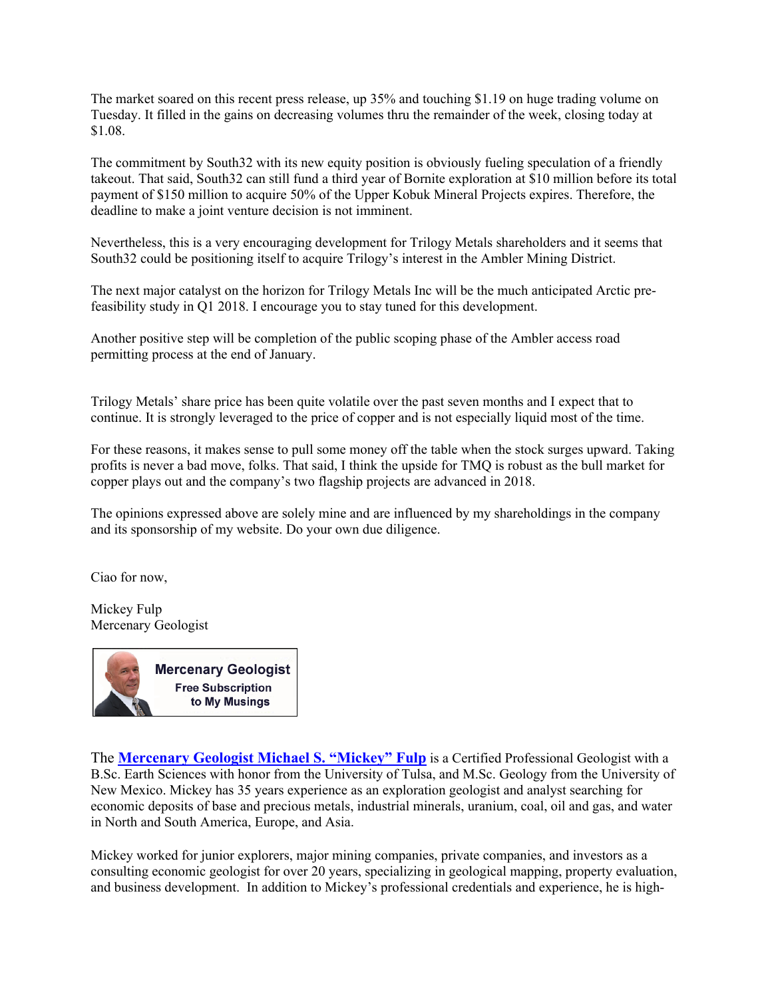The market soared on this recent press release, up 35% and touching \$1.19 on huge trading volume on Tuesday. It filled in the gains on decreasing volumes thru the remainder of the week, closing today at \$1.08.

The commitment by South32 with its new equity position is obviously fueling speculation of a friendly takeout. That said, South32 can still fund a third year of Bornite exploration at \$10 million before its total payment of \$150 million to acquire 50% of the Upper Kobuk Mineral Projects expires. Therefore, the deadline to make a joint venture decision is not imminent.

Nevertheless, this is a very encouraging development for Trilogy Metals shareholders and it seems that South32 could be positioning itself to acquire Trilogy's interest in the Ambler Mining District.

The next major catalyst on the horizon for Trilogy Metals Inc will be the much anticipated Arctic prefeasibility study in Q1 2018. I encourage you to stay tuned for this development.

Another positive step will be completion of the public scoping phase of the Ambler access road permitting process at the end of January.

Trilogy Metals' share price has been quite volatile over the past seven months and I expect that to continue. It is strongly leveraged to the price of copper and is not especially liquid most of the time.

For these reasons, it makes sense to pull some money off the table when the stock surges upward. Taking profits is never a bad move, folks. That said, I think the upside for TMQ is robust as the bull market for copper plays out and the company's two flagship projects are advanced in 2018.

The opinions expressed above are solely mine and are influenced by my shareholdings in the company and its sponsorship of my website. Do your own due diligence.

Ciao for now,

Mickey Fulp Mercenary Geologist

> **Mercenary Geologist Free Subscription** to My Musings

The **[Mercenary Geologist Michael S. "Mickey" Fulp](http://www.mercenarygeologist.com/)** is a Certified Professional [Geologist](http://www.miningcompanyreport.com/index.htm) with a B.Sc. Earth Sciences with honor from the University of Tulsa, and M.Sc. Geology from the University of New Mexico. Mickey has 35 years experience as an exploration geologist and analyst searching for economic deposits of base and precious metals, industrial minerals, uranium, coal, oil and gas, and water in North and South America, Europe, and Asia.

Mickey worked for junior explorers, major mining companies, private companies, and investors as a consulting economic geologist for over 20 years, specializing in geological mapping, property evaluation, and business development. In addition to Mickey's professional credentials and experience, he is high